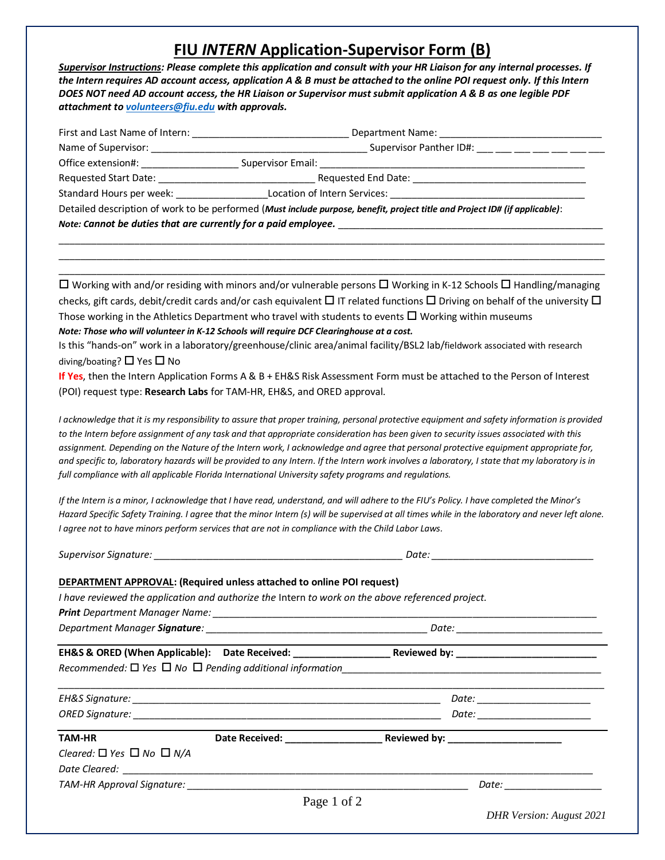## **FIU** *INTERN* **Application-Supervisor Form (B)**

*Supervisor Instructions: Please complete this application and consult with your HR Liaison for any internal processes. If the Intern requires AD account access, application A & B must be attached to the online POI request only. If this Intern DOES NOT need AD account access, the HR Liaison or Supervisor must submit application A & B as one legible PDF attachment to [volunteers@fiu.edu](mailto:volunteers@fiu.edu) with approvals.*

| First and Last Name of Intern:                                 | Department Name:                                                                                                            |  |  |
|----------------------------------------------------------------|-----------------------------------------------------------------------------------------------------------------------------|--|--|
| Name of Supervisor:                                            | Supervisor Panther ID#: ___ __ __ __ __ __ __                                                                               |  |  |
| Office extension#:                                             | Supervisor Email:                                                                                                           |  |  |
| Requested Start Date:                                          | Requested End Date:                                                                                                         |  |  |
| Standard Hours per week:                                       | Location of Intern Services:                                                                                                |  |  |
|                                                                | Detailed description of work to be performed (Must include purpose, benefit, project title and Project ID# (if applicable): |  |  |
| Note: Cannot be duties that are currently for a paid employee. |                                                                                                                             |  |  |

\_\_\_\_\_\_\_\_\_\_\_\_\_\_\_\_\_\_\_\_\_\_\_\_\_\_\_\_\_\_\_\_\_\_\_\_\_\_\_\_\_\_\_\_\_\_\_\_\_\_\_\_\_\_\_\_\_\_\_\_\_\_\_\_\_\_\_\_\_\_\_\_\_\_\_\_\_\_\_\_\_\_\_\_\_\_\_\_\_\_\_\_\_\_\_\_\_\_\_\_\_ \_\_\_\_\_\_\_\_\_\_\_\_\_\_\_\_\_\_\_\_\_\_\_\_\_\_\_\_\_\_\_\_\_\_\_\_\_\_\_\_\_\_\_\_\_\_\_\_\_\_\_\_\_\_\_\_\_\_\_\_\_\_\_\_\_\_\_\_\_\_\_\_\_\_\_\_\_\_\_\_\_\_\_\_\_\_\_\_\_\_\_\_\_\_\_\_\_\_\_\_\_ \_\_\_\_\_\_\_\_\_\_\_\_\_\_\_\_\_\_\_\_\_\_\_\_\_\_\_\_\_\_\_\_\_\_\_\_\_\_\_\_\_\_\_\_\_\_\_\_\_\_\_\_\_\_\_\_\_\_\_\_\_\_\_\_\_\_\_\_\_\_\_\_\_\_\_\_\_\_\_\_\_\_\_\_\_\_\_\_\_\_\_\_\_\_\_\_\_\_\_\_\_

 $\Box$  Working with and/or residing with minors and/or vulnerable persons  $\Box$  Working in K-12 Schools  $\Box$  Handling/managing checks, gift cards, debit/credit cards and/or cash equivalent  $\Box$  IT related functions  $\Box$  Driving on behalf of the university  $\Box$ Those working in the Athletics Department who travel with students to events  $\Box$  Working within museums *Note: Those who will volunteer in K-12 Schools will require DCF Clearinghouse at a cost.*

Is this "hands-on" work in a laboratory/greenhouse/clinic area/animal facility/BSL2 lab/fieldwork associated with research diving/boating?  $\Box$  Yes  $\Box$  No

**If Yes**, then the Intern Application Forms A & B + EH&S Risk Assessment Form must be attached to the Person of Interest (POI) request type: **Research Labs** for TAM-HR, EH&S, and ORED approval.

*I acknowledge that it is my responsibility to assure that proper training, personal protective equipment and safety information is provided to the Intern before assignment of any task and that appropriate consideration has been given to security issues associated with this assignment. Depending on the Nature of the Intern work, I acknowledge and agree that personal protective equipment appropriate for, and specific to, laboratory hazards will be provided to any Intern. If the Intern work involves a laboratory, I state that my laboratory is in full compliance with all applicable Florida International University safety programs and regulations.*

*If the Intern is a minor, I acknowledge that I have read, understand, and will adhere to the FIU's Policy. I have completed the Minor's Hazard Specific Safety Training. I agree that the minor Intern (s) will be supervised at all times while in the laboratory and never left alone. I agree not to have minors perform services that are not in compliance with the Child Labor Laws.*

*Supervisor Signature: \_\_\_\_\_\_\_\_\_\_\_\_\_\_\_\_\_\_\_\_\_\_\_\_\_\_\_\_\_\_\_\_\_\_\_\_\_\_\_\_\_\_\_\_\_\_ Date: \_\_\_\_\_\_\_\_\_\_\_\_\_\_\_\_\_\_\_\_\_\_\_\_\_\_\_\_\_\_*

## **DEPARTMENT APPROVAL: (Required unless attached to online POI request)**

*I have reviewed the application and authorize the* Intern *to work on the above referenced project.* 

*Print Department Manager Name: \_\_\_\_\_\_\_\_\_\_\_\_\_\_\_\_\_\_\_\_\_\_\_\_\_\_\_\_\_\_\_\_\_\_\_\_\_\_\_\_\_\_\_\_\_\_\_\_\_\_\_\_\_\_\_\_\_\_\_\_\_\_\_\_\_\_\_\_\_\_\_*

*Department Manager Signature: \_\_\_\_\_\_\_\_\_\_\_\_\_\_\_\_\_\_\_\_\_\_\_\_\_\_\_\_\_\_\_\_\_\_\_\_\_\_\_\_\_ Date: \_\_\_\_\_\_\_\_\_\_\_\_\_\_\_\_\_\_\_\_\_\_\_\_\_\_\_*

**EH&S & ORED (When Applicable): Date Received: \_\_\_\_\_\_\_\_\_\_\_\_\_\_\_\_\_\_\_\_\_\_\_\_\_\_\_\_\_\_\_\_\_Reviewed by:** *Recommended:* □ Yes □ No □ Pending additional information

| EH&S Signature:        | Date: |
|------------------------|-------|
| <b>ORED Signature:</b> | Date: |

**TAM-HR Date Received: \_\_\_\_\_\_\_\_\_\_\_\_\_\_\_\_\_\_ Reviewed by: \_\_\_\_\_\_\_\_\_\_\_\_\_\_\_\_\_\_\_\_\_**

| Cleared: $\Box$ Yes $\Box$ No $\Box$ N/A |       |
|------------------------------------------|-------|
| Date Cleared:                            |       |
| <b>TAM-HR Approval Signature:</b>        | Date: |

*ORED Signature: \_\_\_\_\_\_\_\_\_\_\_\_\_\_\_\_\_\_\_\_\_\_\_\_\_\_\_\_\_\_\_\_\_\_\_\_\_\_\_\_\_\_\_\_\_\_\_\_\_\_\_\_\_\_\_\_\_ Date: \_\_\_\_\_\_\_\_\_\_\_\_\_\_\_\_\_\_\_\_\_*

*DHR Version: August 2021*